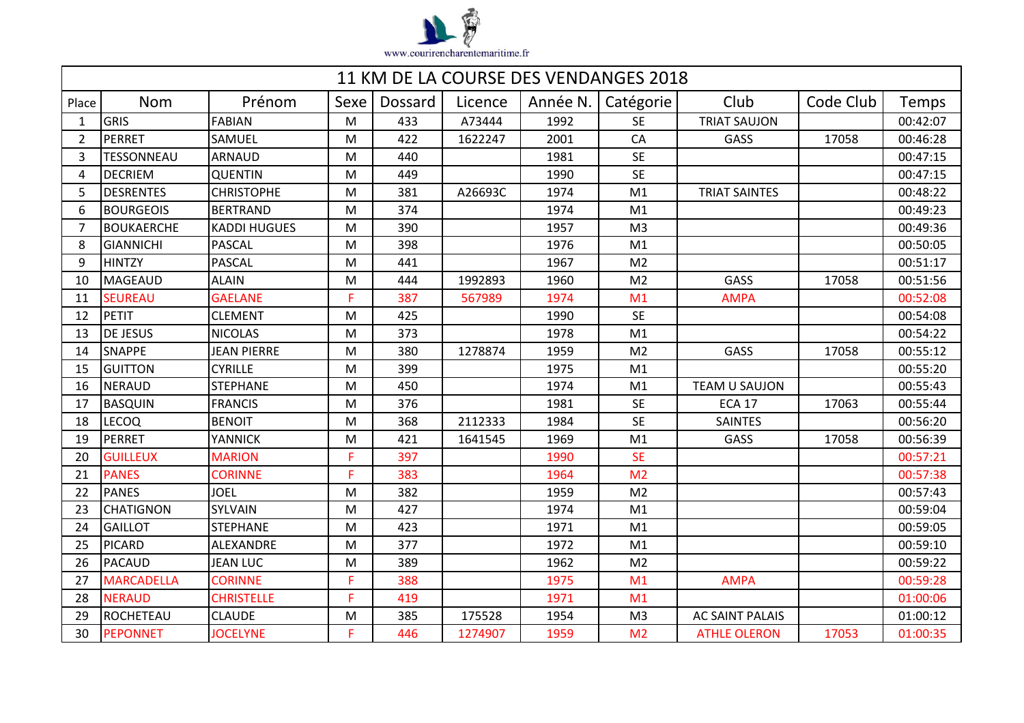

| 11 KM DE LA COURSE DES VENDANGES 2018 |                   |                     |      |         |         |          |                |                        |           |          |  |
|---------------------------------------|-------------------|---------------------|------|---------|---------|----------|----------------|------------------------|-----------|----------|--|
| Place                                 | <b>Nom</b>        | Prénom              | Sexe | Dossard | Licence | Année N. | Catégorie      | Club                   | Code Club | Temps    |  |
| $\mathbf{1}$                          | <b>GRIS</b>       | <b>FABIAN</b>       | M    | 433     | A73444  | 1992     | <b>SE</b>      | <b>TRIAT SAUJON</b>    |           | 00:42:07 |  |
| $\overline{2}$                        | PERRET            | SAMUEL              | M    | 422     | 1622247 | 2001     | CA             | GASS                   | 17058     | 00:46:28 |  |
| 3                                     | <b>TESSONNEAU</b> | <b>ARNAUD</b>       | M    | 440     |         | 1981     | <b>SE</b>      |                        |           | 00:47:15 |  |
| 4                                     | <b>DECRIEM</b>    | <b>QUENTIN</b>      | M    | 449     |         | 1990     | <b>SE</b>      |                        |           | 00:47:15 |  |
| 5                                     | <b>DESRENTES</b>  | <b>CHRISTOPHE</b>   | M    | 381     | A26693C | 1974     | M1             | <b>TRIAT SAINTES</b>   |           | 00:48:22 |  |
| 6                                     | <b>BOURGEOIS</b>  | <b>BERTRAND</b>     | M    | 374     |         | 1974     | M1             |                        |           | 00:49:23 |  |
| 7                                     | <b>BOUKAERCHE</b> | <b>KADDI HUGUES</b> | M    | 390     |         | 1957     | M <sub>3</sub> |                        |           | 00:49:36 |  |
| 8                                     | <b>GIANNICHI</b>  | PASCAL              | M    | 398     |         | 1976     | M1             |                        |           | 00:50:05 |  |
| q                                     | <b>HINTZY</b>     | <b>PASCAL</b>       | M    | 441     |         | 1967     | M <sub>2</sub> |                        |           | 00:51:17 |  |
| 10                                    | MAGEAUD           | <b>ALAIN</b>        | M    | 444     | 1992893 | 1960     | M <sub>2</sub> | GASS                   | 17058     | 00:51:56 |  |
| 11                                    | <b>SEUREAU</b>    | <b>GAELANE</b>      | F.   | 387     | 567989  | 1974     | M1             | <b>AMPA</b>            |           | 00:52:08 |  |
| 12                                    | PETIT             | <b>CLEMENT</b>      | M    | 425     |         | 1990     | <b>SE</b>      |                        |           | 00:54:08 |  |
| 13                                    | <b>DE JESUS</b>   | <b>NICOLAS</b>      | M    | 373     |         | 1978     | M1             |                        |           | 00:54:22 |  |
| 14                                    | <b>SNAPPE</b>     | <b>JEAN PIERRE</b>  | M    | 380     | 1278874 | 1959     | M <sub>2</sub> | GASS                   | 17058     | 00:55:12 |  |
| 15                                    | <b>GUITTON</b>    | <b>CYRILLE</b>      | M    | 399     |         | 1975     | M <sub>1</sub> |                        |           | 00:55:20 |  |
| 16                                    | <b>NERAUD</b>     | <b>STEPHANE</b>     | M    | 450     |         | 1974     | M1             | <b>TEAM U SAUJON</b>   |           | 00:55:43 |  |
| 17                                    | <b>BASQUIN</b>    | <b>FRANCIS</b>      | M    | 376     |         | 1981     | <b>SE</b>      | <b>ECA 17</b>          | 17063     | 00:55:44 |  |
| 18                                    | <b>LECOQ</b>      | <b>BENOIT</b>       | M    | 368     | 2112333 | 1984     | <b>SE</b>      | <b>SAINTES</b>         |           | 00:56:20 |  |
| 19                                    | PERRET            | <b>YANNICK</b>      | M    | 421     | 1641545 | 1969     | M1             | GASS                   | 17058     | 00:56:39 |  |
| 20                                    | <b>GUILLEUX</b>   | <b>MARION</b>       | F.   | 397     |         | 1990     | <b>SE</b>      |                        |           | 00:57:21 |  |
| 21                                    | <b>PANES</b>      | <b>CORINNE</b>      | F.   | 383     |         | 1964     | M <sub>2</sub> |                        |           | 00:57:38 |  |
| 22                                    | <b>PANES</b>      | <b>JOEL</b>         | M    | 382     |         | 1959     | M <sub>2</sub> |                        |           | 00:57:43 |  |
| 23                                    | <b>CHATIGNON</b>  | SYLVAIN             | M    | 427     |         | 1974     | M1             |                        |           | 00:59:04 |  |
| 24                                    | <b>GAILLOT</b>    | <b>STEPHANE</b>     | M    | 423     |         | 1971     | M1             |                        |           | 00:59:05 |  |
| 25                                    | <b>PICARD</b>     | ALEXANDRE           | M    | 377     |         | 1972     | M1             |                        |           | 00:59:10 |  |
| 26                                    | PACAUD            | <b>JEAN LUC</b>     | M    | 389     |         | 1962     | M <sub>2</sub> |                        |           | 00:59:22 |  |
| 27                                    | <b>MARCADELLA</b> | <b>CORINNE</b>      | F.   | 388     |         | 1975     | M1             | <b>AMPA</b>            |           | 00:59:28 |  |
| 28                                    | <b>NERAUD</b>     | <b>CHRISTELLE</b>   | F.   | 419     |         | 1971     | M1             |                        |           | 01:00:06 |  |
| 29                                    | ROCHETEAU         | <b>CLAUDE</b>       | M    | 385     | 175528  | 1954     | M <sub>3</sub> | <b>AC SAINT PALAIS</b> |           | 01:00:12 |  |
| 30                                    | <b>PEPONNET</b>   | <b>JOCELYNE</b>     | F.   | 446     | 1274907 | 1959     | M <sub>2</sub> | <b>ATHLE OLERON</b>    | 17053     | 01:00:35 |  |